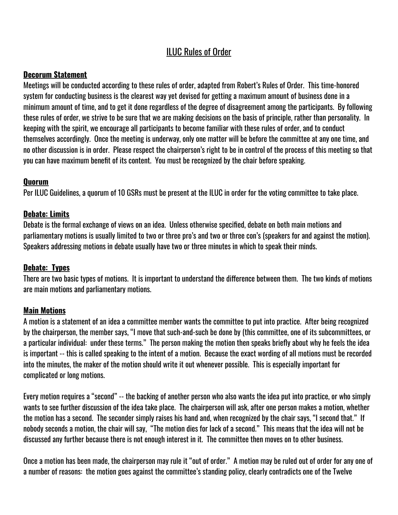# ILUC Rules of Order

#### **Decorum Statement**

Meetings will be conducted according to these rules of order, adapted from Robert's Rules of Order. This time-honored system for conducting business is the clearest way yet devised for getting a maximum amount of business done in a minimum amount of time, and to get it done regardless of the degree of disagreement among the participants. By following these rules of order, we strive to be sure that we are making decisions on the basis of principle, rather than personality. In keeping with the spirit, we encourage all participants to become familiar with these rules of order, and to conduct themselves accordingly. Once the meeting is underway, only one matter will be before the committee at any one time, and no other discussion is in order. Please respect the chairperson's right to be in control of the process of this meeting so that you can have maximum benefit of its content. You must be recognized by the chair before speaking.

#### **Quorum**

Per ILUC Guidelines, a quorum of 10 GSRs must be present at the ILUC in order for the voting committee to take place.

#### **Debate: Limits**

Debate is the formal exchange of views on an idea. Unless otherwise specified, debate on both main motions and parliamentary motions is usually limited to two or three pro's and two or three con's (speakers for and against the motion). Speakers addressing motions in debate usually have two or three minutes in which to speak their minds.

#### **Debate: Types**

There are two basic types of motions. It is important to understand the difference between them. The two kinds of motions are main motions and parliamentary motions.

#### **Main Motions**

A motion is a statement of an idea a committee member wants the committee to put into practice. After being recognized by the chairperson, the member says, "I move that such-and-such be done by (this committee, one of its subcommittees, or a particular individual: under these terms." The person making the motion then speaks briefly about why he feels the idea is important -- this is called speaking to the intent of a motion. Because the exact wording of all motions must be recorded into the minutes, the maker of the motion should write it out whenever possible. This is especially important for complicated or long motions.

Every motion requires a "second" -- the backing of another person who also wants the idea put into practice, or who simply wants to see further discussion of the idea take place. The chairperson will ask, after one person makes a motion, whether the motion has a second. The seconder simply raises his hand and, when recognized by the chair says, "I second that." If nobody seconds a motion, the chair will say, "The motion dies for lack of a second." This means that the idea will not be discussed any further because there is not enough interest in it. The committee then moves on to other business.

Once a motion has been made, the chairperson may rule it "out of order." A motion may be ruled out of order for any one of a number of reasons: the motion goes against the committee's standing policy, clearly contradicts one of the Twelve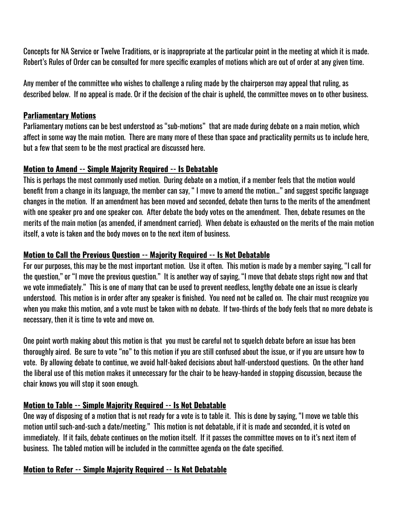Concepts for NA Service or Twelve Traditions, or is inappropriate at the particular point in the meeting at which it is made. Robert's Rules of Order can be consulted for more specific examples of motions which are out of order at any given time.

Any member of the committee who wishes to challenge a ruling made by the chairperson may appeal that ruling, as described below. If no appeal is made. Or if the decision of the chair is upheld, the committee moves on to other business.

#### **Parliamentary Motions**

Parliamentary motions can be best understood as "sub-motions" that are made during debate on a main motion, which affect in some way the main motion. There are many more of these than space and practicality permits us to include here, but a few that seem to be the most practical are discussed here.

#### **Motion to Amend -- Simple Majority Required -- Is Debatable**

This is perhaps the most commonly used motion. During debate on a motion, if a member feels that the motion would benefit from a change in its language, the member can say, " I move to amend the motion…" and suggest specific language changes in the motion. If an amendment has been moved and seconded, debate then turns to the merits of the amendment with one speaker pro and one speaker con. After debate the body votes on the amendment. Then, debate resumes on the merits of the main motion (as amended, if amendment carried). When debate is exhausted on the merits of the main motion itself, a vote is taken and the body moves on to the next item of business.

#### **Motion to Call the Previous Question -- Majority Required -- Is Not Debatable**

For our purposes, this may be the most important motion. Use it often. This motion is made by a member saying, "I call for the question," or "I move the previous question." It is another way of saying, "I move that debate stops right now and that we vote immediately." This is one of many that can be used to prevent needless, lengthy debate one an issue is clearly understood. This motion is in order after any speaker is finished. You need not be called on. The chair must recognize you when you make this motion, and a vote must be taken with no debate. If two-thirds of the body feels that no more debate is necessary, then it is time to vote and move on.

One point worth making about this motion is that you must be careful not to squelch debate before an issue has been thoroughly aired. Be sure to vote "no" to this motion if you are still confused about the issue, or if you are unsure how to vote. By allowing debate to continue, we avoid half-baked decisions about half-understood questions. On the other hand the liberal use of this motion makes it unnecessary for the chair to be heavy-handed in stopping discussion, because the chair knows you will stop it soon enough.

### **Motion to Table -- Simple Majority Required -- Is Not Debatable**

One way of disposing of a motion that is not ready for a vote is to table it. This is done by saying, "I move we table this motion until such-and-such a date/meeting." This motion is not debatable, if it is made and seconded, it is voted on immediately. If it fails, debate continues on the motion itself. If it passes the committee moves on to it's next item of business. The tabled motion will be included in the committee agenda on the date specified.

#### **Motion to Refer -- Simple Majority Required -- Is Not Debatable**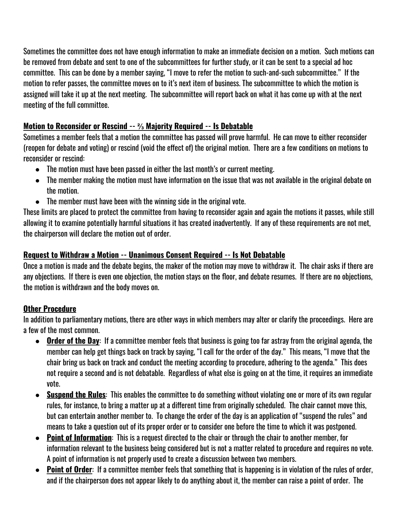Sometimes the committee does not have enough information to make an immediate decision on a motion. Such motions can be removed from debate and sent to one of the subcommittees for further study, or it can be sent to a special ad hoc committee. This can be done by a member saying, "I move to refer the motion to such-and-such subcommittee." If the motion to refer passes, the committee moves on to it's next item of business. The subcommittee to which the motion is assigned will take it up at the next meeting. The subcommittee will report back on what it has come up with at the next meeting of the full committee.

# **Motion to Reconsider or Rescind -- ⅔ Majority Required -- Is Debatable**

Sometimes a member feels that a motion the committee has passed will prove harmful. He can move to either reconsider (reopen for debate and voting) or rescind (void the effect of) the original motion. There are a few conditions on motions to reconsider or rescind:

- The motion must have been passed in either the last month's or current meeting.
- The member making the motion must have information on the issue that was not available in the original debate on the motion.
- The member must have been with the winning side in the original vote.

These limits are placed to protect the committee from having to reconsider again and again the motions it passes, while still allowing it to examine potentially harmful situations it has created inadvertently. If any of these requirements are not met, the chairperson will declare the motion out of order.

# **Request to Withdraw a Motion -- Unanimous Consent Required -- Is Not Debatable**

Once a motion is made and the debate begins, the maker of the motion may move to withdraw it. The chair asks if there are any objections. If there is even one objection, the motion stays on the floor, and debate resumes. If there are no objections, the motion is withdrawn and the body moves on.

# **Other Procedure**

In addition to parliamentary motions, there are other ways in which members may alter or clarify the proceedings. Here are a few of the most common.

- **● Order of the Day**: If a committee member feels that business is going too far astray from the original agenda, the member can help get things back on track by saying, "I call for the order of the day." This means, "I move that the chair bring us back on track and conduct the meeting according to procedure, adhering to the agenda." This does not require a second and is not debatable. Regardless of what else is going on at the time, it requires an immediate vote.
- **● Suspend the Rules**: This enables the committee to do something without violating one or more of its own regular rules, for instance, to bring a matter up at a different time from originally scheduled. The chair cannot move this, but can entertain another member to. To change the order of the day is an application of "suspend the rules" and means to take a question out of its proper order or to consider one before the time to which it was postponed.
- **● Point of Information**: This is a request directed to the chair or through the chair to another member, for information relevant to the business being considered but is not a matter related to procedure and requires no vote. A point of information is not properly used to create a discussion between two members.
- **● Point of Order**: If a committee member feels that something that is happening is in violation of the rules of order, and if the chairperson does not appear likely to do anything about it, the member can raise a point of order. The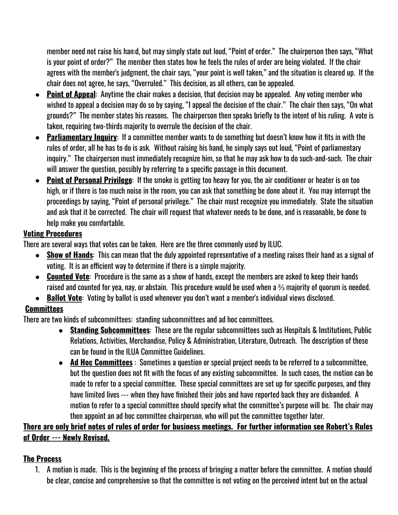member need not raise his han:d, but may simply state out loud, "Point of order." The chairperson then says, "What is your point of order?" The member then states how he feels the rules of order are being violated. If the chair agrees with the member's judgment, the chair says, "your point is well taken," and the situation is cleared up. If the chair does not agree, he says, "Overruled." This decision, as all others, can be appealed.

- **● Point of Appeal**: Anytime the chair makes a decision, that decision may be appealed. Any voting member who wished to appeal a decision may do so by saying, "I appeal the decision of the chair." The chair then says, "On what grounds?" The member states his reasons. The chairperson then speaks briefly to the intent of his ruling. A vote is taken, requiring two-thirds majority to overrule the decision of the chair.
- **● Parliamentary Inquiry**: If a committee member wants to do something but doesn't know how it fits in with the rules of order, all he has to do is ask. Without raising his hand, he simply says out loud, "Point of parliamentary inquiry." The chairperson must immediately recognize him, so that he may ask how to do such-and-such. The chair will answer the question, possibly by referring to a specific passage in this document.
- **● Point of Personal Privilege**: If the smoke is getting too heavy for you, the air conditioner or heater is on too high, or if there is too much noise in the room, you can ask that something be done about it. You may interrupt the proceedings by saying, "Point of personal privilege." The chair must recognize you immediately. State the situation and ask that it be corrected. The chair will request that whatever needs to be done, and is reasonable, be done to help make you comfortable.

### **Voting Procedures**

There are several ways that votes can be taken. Here are the three commonly used by ILUC.

- **● Show of Hands**: This can mean that the duly appointed representative of a meeting raises their hand as a signal of voting. It is an efficient way to determine if there is a simple majority.
- **● Counted Vote**: Procedure is the same as a show of hands, except the members are asked to keep their hands raised and counted for yea, nay, or abstain. This procedure would be used when a ⅔ majority of quorum is needed.
- **● Ballot Vote**: Voting by ballot is used whenever you don't want a member's individual views disclosed.

### **Committees**

There are two kinds of subcommittees: standing subcommittees and ad hoc committees.

- **Standing Subcommittees**: These are the regular subcommittees such as Hospitals & Institutions, Public Relations, Activities, Merchandise, Policy & Administration, Literature, Outreach. The description of these can be found in the ILUA Committee Guidelines.
- **● Ad Hoc Committees** : Sometimes a question or special project needs to be referred to a subcommittee, but the question does not fit with the focus of any existing subcommittee. In such cases, the motion can be made to refer to a special committee. These special committees are set up for specific purposes, and they have limited lives --- when they have finished their jobs and have reported back they are disbanded. A motion to refer to a special committee should specify what the committee's purpose will be. The chair may then appoint an ad hoc committee chairperson, who will put the committee together later.

# There are only brief notes of rules of order for business meetings. For further information see Robert's Rules **of Order --- Newly Revised.**

# **The Process**

1. A motion is made. This is the beginning of the process of bringing a matter before the committee. A motion should be clear, concise and comprehensive so that the committee is not voting on the perceived intent but on the actual